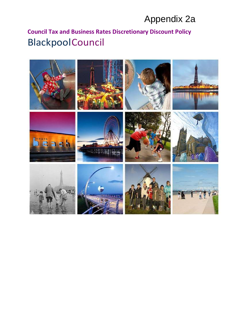# Appendix 2a

# **Council Tax and Business Rates Discretionary Discount Policy Blackpool Council**

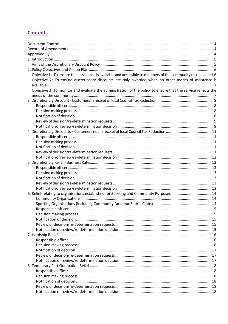# **Contents**

| Objective 1: To ensure that assistance is available and accessible to members of the community most in need 6 |  |
|---------------------------------------------------------------------------------------------------------------|--|
| Objective 2: To ensure discretionary discounts are only awarded when no other means of assistance is          |  |
|                                                                                                               |  |
| Objective 3: To monitor and evaluate the administration of the policy to ensure that the service reflects the |  |
|                                                                                                               |  |
|                                                                                                               |  |
|                                                                                                               |  |
|                                                                                                               |  |
|                                                                                                               |  |
|                                                                                                               |  |
|                                                                                                               |  |
|                                                                                                               |  |
|                                                                                                               |  |
|                                                                                                               |  |
|                                                                                                               |  |
|                                                                                                               |  |
|                                                                                                               |  |
|                                                                                                               |  |
|                                                                                                               |  |
|                                                                                                               |  |
|                                                                                                               |  |
|                                                                                                               |  |
|                                                                                                               |  |
| 6. Relief relating to organisations established for Sporting and Community Purposes  14                       |  |
|                                                                                                               |  |
|                                                                                                               |  |
|                                                                                                               |  |
|                                                                                                               |  |
|                                                                                                               |  |
|                                                                                                               |  |
|                                                                                                               |  |
|                                                                                                               |  |
|                                                                                                               |  |
|                                                                                                               |  |
|                                                                                                               |  |
|                                                                                                               |  |
|                                                                                                               |  |
|                                                                                                               |  |
|                                                                                                               |  |
|                                                                                                               |  |
|                                                                                                               |  |
|                                                                                                               |  |
|                                                                                                               |  |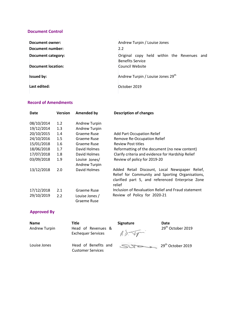### <span id="page-3-0"></span>**Document Control**

| Document owner:           | Andrew Turpin / Louise Jones                                          |  |
|---------------------------|-----------------------------------------------------------------------|--|
| Document number:          | 2.2                                                                   |  |
| <b>Document category:</b> | Original copy held within the Revenues and<br><b>Benefits Service</b> |  |
| <b>Document location:</b> | Council Website                                                       |  |
| <b>Issued by:</b>         | Andrew Turpin / Louise Jones 29 <sup>th</sup>                         |  |
| Last edited:              | October 2019                                                          |  |

### <span id="page-3-1"></span>**Record of Amendments**

| <b>Date</b> | <b>Version</b> | <b>Amended by</b>              | <b>Description of changes</b>                                                                                                                                    |
|-------------|----------------|--------------------------------|------------------------------------------------------------------------------------------------------------------------------------------------------------------|
| 08/10/2014  | 1.2            | <b>Andrew Turpin</b>           |                                                                                                                                                                  |
| 19/12/2014  | 1.3            | Andrew Turpin                  |                                                                                                                                                                  |
| 20/10/2015  | 1.4            | Graeme Ruse                    | Add Part Occupation Relief                                                                                                                                       |
| 24/10/2016  | 1.5            | Graeme Ruse                    | <b>Remove Re-Occupation Relief</b>                                                                                                                               |
| 15/01/2018  | 1.6            | Graeme Ruse                    | <b>Review Post titles</b>                                                                                                                                        |
| 18/06/2018  | 1.7            | David Holmes                   | Reformatting of the document (no new content)                                                                                                                    |
| 17/07/2018  | 1.8            | David Holmes                   | Clarify criteria and evidence for Hardship Relief                                                                                                                |
| 03/09/2018  | 1.9            | Louise Jones/<br>Andrew Turpin | Review of policy for 2019-20                                                                                                                                     |
| 13/12/2018  | 2.0            | David Holmes                   | Added Retail Discount, Local Newspaper Relief,<br>Relief for Community and Sporting Organisations,<br>clarified part 5, and referenced Enterprise Zone<br>relief |
| 17/12/2018  | 2.1            | Graeme Ruse                    | Inclusion of Revaluation Relief and Fraud statement                                                                                                              |
| 29/10/2019  | 2.2            | Louise Jones /<br>Graeme Ruse  | Review of Policy for 2020-21                                                                                                                                     |

### <span id="page-3-2"></span>**Approved By**

| <b>Name</b>   | Title                     |
|---------------|---------------------------|
| Andrew Turpin | Head of Revenues &        |
|               | <b>Exchequer Services</b> |
| Louise Jones  | Head of Benefits and      |
|               | <b>Customer Services</b>  |

**Signature** 

**Date**  29<sup>th</sup> October 2019

 $\begin{picture}(180,10) \put(0,0){\vector(1,0){10}} \put(15,0){\vector(1,0){10}} \put(15,0){\vector(1,0){10}} \put(15,0){\vector(1,0){10}} \put(15,0){\vector(1,0){10}} \put(15,0){\vector(1,0){10}} \put(15,0){\vector(1,0){10}} \put(15,0){\vector(1,0){10}} \put(15,0){\vector(1,0){10}} \put(15,0){\vector(1,0){10}} \put(15,0){\vector(1,0){10}} \put(15,0){\vector($ 

 $\mathbf{S} \mathbf{Q}$   $\mathbf{Q}$   $\mathbf{Q}$ <sup>th</sup> October 2019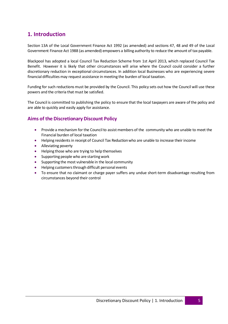# <span id="page-4-0"></span>**1. Introduction**

Section 13A of the Local Government Finance Act 1992 (as amended) and sections 47, 48 and 49 of the Local Government Finance Act 1988 (as amended) empowers a billing authority to reduce the amount of tax payable.

Blackpool has adopted a local Council Tax Reduction Scheme from 1st April 2013, which replaced Council Tax Benefit. However it is likely that other circumstances will arise where the Council could consider a further discretionary reduction in exceptional circumstances. In addition local Businesses who are experiencing severe financial difficulties may request assistance in meeting the burden of local taxation.

Funding for such reductions must be provided by the Council. This policy sets out how the Council will use these powers and the criteria that must be satisfied.

The Council is committed to publishing the policy to ensure that the local taxpayers are aware of the policy and are able to quickly and easily apply for assistance.

## <span id="page-4-1"></span>**Aims of the Discretionary Discount Policy**

- Provide a mechanism for the Council to assist members of the community who are unable to meet the Financial burden of local taxation
- Helping residents in receipt of Council Tax Reduction who are unable to increase their income
- Alleviating poverty
- Helping those who are trying to help themselves
- Supporting people who are starting work
- Supporting the most vulnerable in the local community
- Helping customers through difficult personal events
- To ensure that no claimant or charge payer suffers any undue short-term disadvantage resulting from circumstances beyond their control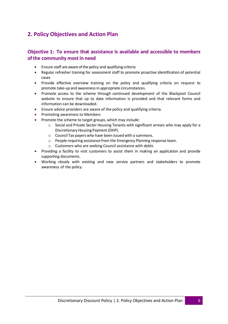# <span id="page-5-0"></span>**2. Policy Objectives and Action Plan**

## <span id="page-5-1"></span>**Objective 1: To ensure that assistance is available and accessible to members of the community most in need**

- Ensure staff are aware of the policy and qualifying criteria
- Regular refresher training for assessment staff to promote proactive identification of potential cases
- Provide effective overview training on the policy and qualifying criteria on request to promote take-up and awareness in appropriate circumstances.
- Promote access to the scheme through continued development of the Blackpool Council website to ensure that up to date information is provided and that relevant forms and information can be downloaded.
- Ensure advice providers are aware of the policy and qualifying criteria.
- Promoting awareness to Members
- Promote the scheme to target groups, which may include:
	- $\circ$  Social and Private Sector Housing Tenants with significant arrears who may apply for a Discretionary Housing Payment (DHP).
	- o Council Tax payers who have been issued with a summons.
	- o People requiring assistance from the Emergency Planning response team.
	- o Customers who are seeking Council assistance with debts
- Providing a facility to visit customers to assist them in making an application and provide supporting documents.
- Working closely with existing and new service partners and stakeholders to promote awareness of the policy.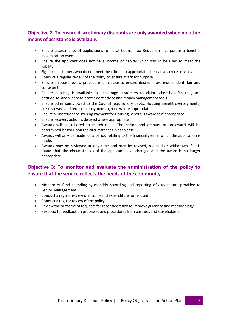# <span id="page-6-0"></span>**Objective 2: To ensure discretionary discounts are only awarded when no other means of assistance is available.**

- Ensure assessments of applications for local Council Tax Reduction incorporate a benefits maximization check.
- Ensure the applicant does not have income or capital which should be used to meet the liability.
- Signpost customers who do not meet the criteria to appropriate alternative advice services
- Conduct a regular review of the policy to ensure it is fit for purpose.
- Ensure a robust review procedure is in place to ensure decisions are independent, fair and consistent.
- Ensure publicity is available to encourage customers to claim other benefits they are entitled to and where to access debt advice and money management tools.
- Ensure other sums owed to the Council (e.g. sundry debts, Housing Benefit overpayments) are reviewed and reduced repayments agreed where appropriate
- Ensure a Discretionary Housing Payment for Housing Benefit is awarded if appropriate
- Ensure recovery action is delayed where appropriate
- Awards will be tailored to match need. The period and amount of an award will be determined based upon the circumstances in each case.
- Awards will only be made for a period relating to the financial year in which the application is made.
- Awards may be reviewed at any time and may be revised, reduced or withdrawn if it is found that the circumstances of the applicant have changed and the award is no longer appropriate.

# <span id="page-6-1"></span>**Objective 3: To monitor and evaluate the administration of the policy to ensure that the service reflects the needs of the community**

- Monitor of fund spending by monthly recording and reporting of expenditure provided to Senior Management.
- Conduct a regular review of income and expenditure forms used.
- Conduct a regular review of the policy.
- Review the outcome of requests for reconsideration to improve guidance and methodology.
- Respond to feedback on processes and procedures from partners and stakeholders.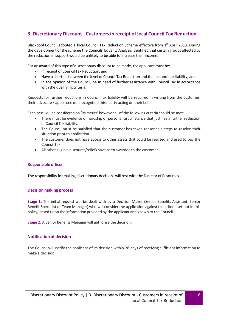# <span id="page-7-0"></span>**3. Discretionary Discount ‐ Customers in receipt of local Council Tax Reduction**

Blackpool Council adopted a local Council Tax Reduction Scheme effective from 1<sup>st</sup> April 2013. During the development of the scheme the Councils' Equality Analysis identified that certain groups affected by the reduction in support would be unlikely to be able to increase their income.

For an award of this type of discretionary discount to be made, the applicant must be:

- In receipt of Council Tax Reduction; and
- Have a shortfall between the level of Council Tax Reduction and their council tax liability; and
- In the opinion of the Council, be in need of further assistance with Council Tax in accordance with the qualifying criteria.

Requests for further reductions in Council Tax liability will be required in writing from the customer, their advocate / appointee or a recognised third party acting on their behalf.

Each case will be considered on 'its merits' however all of the following criteria should be met:

- There must be evidence of hardship or personal circumstance that justifies a further reduction in Council Tax liability.
- The Council must be satisfied that the customer has taken reasonable steps to resolve their situation prior to application.
- The customer does not have access to other assets that could be realised and used to pay the Council Tax.
- All other eligible discounts/reliefs have been awarded to the customer.

#### <span id="page-7-1"></span>**Responsible officer**

The responsibility for making discretionary decisions will rest with the Director of Resources.

#### <span id="page-7-2"></span>**Decision making process**

**Stage 1:** The initial request will be dealt with by a Decision Maker (Senior Benefits Assistant, Senior Benefit Specialist or Team Manager) who will consider the application against the criteria set out in this policy, based upon the information provided by the applicant and known to the Council.

**Stage 2:** A Senior Benefits Manager will authorise the decision.

#### <span id="page-7-3"></span>**Notification of decision**

The Council will notify the applicant of its decision within 28 days of receiving sufficient information to make a decision.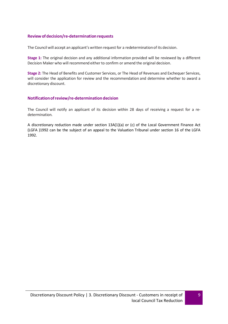### <span id="page-8-0"></span>**Review of decision/re‐determination requests**

The Council will accept an applicant's written request for a redetermination of its decision.

**Stage 1:** The original decision and any additional information provided will be reviewed by a different Decision Maker who will recommend either to confirm or amend the original decision.

**Stage 2:** The Head of Benefits and Customer Services, or The Head of Revenues and Exchequer Services, will consider the application for review and the recommendation and determine whether to award a discretionary discount.

### <span id="page-8-1"></span>**Notification of review/re‐determination decision**

The Council will notify an applicant of its decision within 28 days of receiving a request for a redetermination.

A discretionary reduction made under section 13A(1)(a) or (c) of the Local Government Finance Act (LGFA )1992 can be the subject of an appeal to the Valuation Tribunal under section 16 of the LGFA 1992.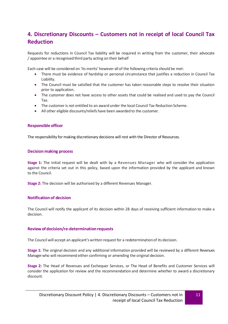# <span id="page-9-0"></span>**4. Discretionary Discounts – Customers not in receipt of local Council Tax Reduction**

Requests for reductions in Council Tax liability will be required in writing from the customer, their advocate / appointee or a recognised third party acting on their behalf

Each case will be considered on 'its merits' however all of the following criteria should be met:

- There must be evidence of hardship or personal circumstance that justifies a reduction in Council Tax Liability.
- The Council must be satisfied that the customer has taken reasonable steps to resolve their situation prior to application.
- The customer does not have access to other assets that could be realised and used to pay the Council Tax.
- The customer is not entitled to an award under the local Council Tax Reduction Scheme.
- All other eligible discounts/reliefs have been awarded to the customer.

### <span id="page-9-1"></span>**Responsible officer**

The responsibility for making discretionary decisions will rest with the Director of Resources.

### <span id="page-9-2"></span>**Decision making process**

**Stage 1:** The initial request will be dealt with by a Revenues Manager who will consider the application against the criteria set out in this policy, based upon the information provided by the applicant and known to the Council.

**Stage 2:** The decision will be authorised by a different Revenues Manager.

### <span id="page-9-3"></span>**Notification of decision**

The Council will notify the applicant of its decision within 28 days of receiving sufficient information to make a decision.

### <span id="page-9-4"></span>**Review of decision/re‐determination requests**

The Council will accept an applicant's written request for a redetermination of its decision.

**Stage 1:** The original decision and any additional information provided will be reviewed by a different Revenues Manager who will recommend either confirming or amending the original decision.

**Stage 2:** The Head of Revenues and Exchequer Services, or The Head of Benefits and Customer Services will consider the application for review and the recommendation and determine whether to award a discretionary discount.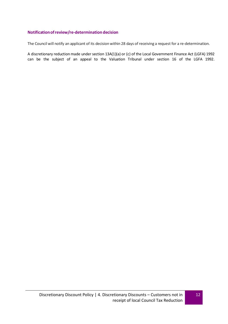### <span id="page-10-0"></span>**Notification of review/re‐determination decision**

The Council will notify an applicant of its decision within 28 days of receiving a request for a re-determination.

A discretionary reduction made under section 13A(1)(a) or (c) of the Local Government Finance Act (LGFA) 1992 can be the subject of an appeal to the Valuation Tribunal under section 16 of the LGFA 1992.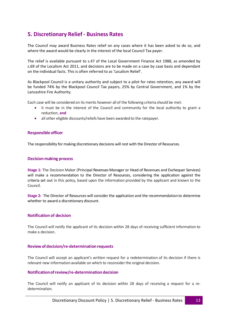# <span id="page-11-0"></span>**5. Discretionary Relief ‐ Business Rates**

The Council may award Business Rates relief on any cases where it has been asked to do so, and where the award would be clearly in the interest of the local Council Tax payer.

The relief is available pursuant to s.47 of the Local Government Finance Act 1988, as amended by s.69 of the Localism Act 2011, and decisions are to be made on a case by case basis and dependant on the individual facts. This is often referred to as 'Localism Relief'.

As Blackpool Council is a unitary authority and subject to a pilot for rates retention, any award will be funded 74% by the Blackpool Council Tax payers, 25% by Central Government, and 1% by the Lancashire Fire Authority.

Each case will be considered on its merits however all of the following criteria should be met:

- it must be in the interest of the Council and community for the local authority to grant a reduction, **and**
- all other eligible discounts/reliefs have been awarded to the ratepayer.

#### <span id="page-11-1"></span>**Responsible officer**

The responsibility for making discretionary decisions will rest with the Director of Resources.

#### <span id="page-11-2"></span>**Decision making process**

**Stage 1:** The Decision Maker (Principal Revenues Manager or Head of Revenues and Exchequer Services) will make a recommendation to the Director of Resources, considering the application against the criteria set out in this policy, based upon the information provided by the applicant and known to the Council.

**Stage 2:** The Director of Resources will consider the application and the recommendation to determine whether to award a discretionary discount.

### <span id="page-11-3"></span>**Notification of decision**

The Council will notify the applicant of its decision within 28 days of receiving sufficient information to make a decision.

### <span id="page-11-4"></span>**Review of decision/re‐determination requests**

The Council will accept an applicant's written request for a redetermination of its decision if there is relevant new information available on which to reconsider the original decision.

### <span id="page-11-5"></span>**Notification of review/re‐determination decision**

The Council will notify an applicant of its decision within 28 days of receiving a request for a redetermination.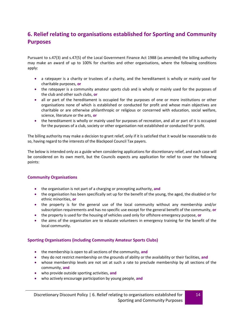# <span id="page-12-0"></span>**6. Relief relating to organisations established for Sporting and Community Purposes**

Pursuant to s.47(3) and s.47(5) of the Local Government Finance Act 1988 (as amended) the billing authority may make an award of up to 100% for charities and other organisations, where the following conditions apply:

- a ratepayer is a charity or trustees of a charity, and the hereditament is wholly or mainly used for charitable purposes, **or**
- the ratepayer is a community amateur sports club and is wholly or mainly used for the purposes of the club and other such clubs, **or**
- all or part of the hereditament is occupied for the purposes of one or more institutions or other organisations none of which is established or conducted for profit and whose main objectives are charitable or are otherwise philanthropic or religious or concerned with education, social welfare, science, literature or the arts, **or**
- the hereditament is wholly or mainly used for purposes of recreation, and all or part of it is occupied for the purposes of a club, society or other organisation not established or conducted for profit.

The billing authority may make a decision to grant relief, only if it is satisfied that it would be reasonable to do so, having regard to the interests of the Blackpool Council Tax payers.

The below is intended only as a guide when considering applications for discretionary relief, and each case will be considered on its own merit, but the Councils expects any application for relief to cover the following points:

### <span id="page-12-1"></span>**Community Organisations**

- the organisation is not part of a charging or precepting authority, **and**
- the organisation has been specifically set up for the benefit of the young, the aged, the disabled or for ethnic minorities, **or**
- the property is for the general use of the local community without any membership and/or subscription requirements and has no specific use except for the general benefit of the community, **or**
- the property is used for the housing of vehicles used only for offshore emergency purpose, **or**
- the aims of the organisation are to educate volunteers in emergency training for the benefit of the local community.

### <span id="page-12-2"></span>**Sporting Organisations (including Community Amateur Sports Clubs)**

- the membership is open to all sections of the community, **and**
- they do not restrict membership on the grounds of ability or the availability or their facilities, **and**
- whose membership levels are not set at such a rate to preclude membership by all sections of the community, **and**
- who provide outside sporting activities, **and**
- who actively encourage participation by young people, **and**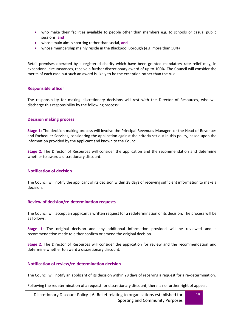- who make their facilities available to people other than members e.g. to schools or casual public sessions, **and**
- whose main aim is sporting rather than social, **and**
- whose membership mainly reside in the Blackpool Borough (e.g. more than 50%)

Retail premises operated by a registered charity which have been granted mandatory rate relief may, in exceptional circumstances, receive a further discretionary award of up to 100%. The Council will consider the merits of each case but such an award is likely to be the exception rather than the rule.

### <span id="page-13-0"></span>**Responsible officer**

The responsibility for making discretionary decisions will rest with the Director of Resources, who will discharge this responsibility by the following process:

### <span id="page-13-1"></span>**Decision making process**

**Stage 1:** The decision making process will involve the Principal Revenues Manager or the Head of Revenues and Exchequer Services, considering the application against the criteria set out in this policy, based upon the information provided by the applicant and known to the Council.

**Stage 2:** The Director of Resources will consider the application and the recommendation and determine whether to award a discretionary discount.

### <span id="page-13-2"></span>**Notification of decision**

The Council will notify the applicant of its decision within 28 days of receiving sufficient information to make a decision.

### <span id="page-13-3"></span>**Review of decision/re-determination requests**

The Council will accept an applicant's written request for a redetermination of its decision. The process will be as follows:

**Stage 1:** The original decision and any additional information provided will be reviewed and a recommendation made to either confirm or amend the original decision.

**Stage 2:** The Director of Resources will consider the application for review and the recommendation and determine whether to award a discretionary discount.

### <span id="page-13-4"></span>**Notification of review/re-determination decision**

The Council will notify an applicant of its decision within 28 days of receiving a request for a re-determination.

Following the redetermination of a request for discretionary discount, there is no further right of appeal.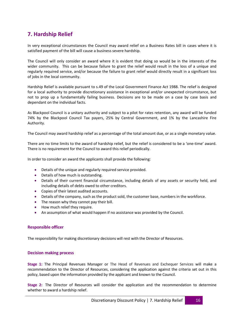# <span id="page-14-0"></span>**7. Hardship Relief**

In very exceptional circumstances the Council may award relief on a Business Rates bill in cases where it is satisfied payment of the bill will cause a business severe hardship.

The Council will only consider an award where it is evident that doing so would be in the interests of the wider community. This can be because failure to grant the relief would result in the loss of a unique and regularly required service, and/or because the failure to grant relief would directly result in a significant loss of jobs in the local community.

Hardship Relief is available pursuant to s.49 of the Local Government Finance Act 1988. The relief is designed for a local authority to provide discretionary assistance in exceptional and/or unexpected circumstance, but not to prop up a fundamentally failing business. Decisions are to be made on a case by case basis and dependant on the individual facts.

As Blackpool Council is a unitary authority and subject to a pilot for rates retention, any award will be funded 74% by the Blackpool Council Tax payers, 25% by Central Government, and 1% by the Lancashire Fire Authority.

The Council may award hardship relief as a percentage of the total amount due, or as a single monetary value.

There are no time limits to the award of hardship relief, but the relief is considered to be a 'one-time' award. There is no requirement for the Council to award this relief periodically.

In order to consider an award the applicants shall provide the following:

- Details of the unique and regularly required service provided.
- Details of how much is outstanding.
- Details of their current financial circumstance, including details of any assets or security held, and including details of debts owed to other creditors.
- Copies of their latest audited accounts.
- Details of the company, such as the product sold, the customer base, numbers in the workforce.
- The reason why they cannot pay their bill.
- How much relief they require.
- An assumption of what would happen if no assistance was provided by the Council.

### <span id="page-14-1"></span>**Responsible officer**

The responsibility for making discretionary decisions will rest with the Director of Resources.

### <span id="page-14-2"></span>**Decision making process**

**Stage 1:** The Principal Revenues Manager or The Head of Revenues and Exchequer Services will make a recommendation to the Director of Resources, considering the application against the criteria set out in this policy, based upon the information provided by the applicant and known to the Council.

**Stage 2:** The Director of Resources will consider the application and the recommendation to determine whether to award a hardship relief.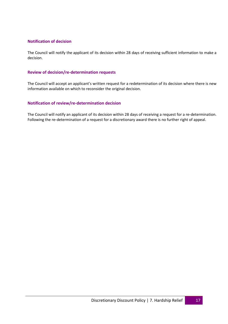### <span id="page-15-0"></span>**Notification of decision**

The Council will notify the applicant of its decision within 28 days of receiving sufficient information to make a decision.

### <span id="page-15-1"></span>**Review of decision/re‐determination requests**

The Council will accept an applicant's written request for a redetermination of its decision where there is new information available on which to reconsider the original decision.

### <span id="page-15-2"></span>**Notification of review/re‐determination decision**

The Council will notify an applicant of its decision within 28 days of receiving a request for a re‐determination. Following the re-determination of a request for a discretionary award there is no further right of appeal.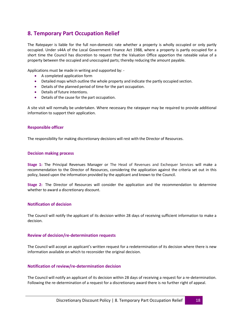# <span id="page-16-0"></span>**8. Temporary Part Occupation Relief**

The Ratepayer is liable for the full non-domestic rate whether a property is wholly occupied or only partly occupied. Under s44A of the Local Government Finance Act 1988, where a property is partly occupied for a short time the Council has discretion to request that the Valuation Office apportion the rateable value of a property between the occupied and unoccupied parts; thereby reducing the amount payable.

Applications must be made in writing and supported by: -

- A completed application form
- Detailed maps which outline the whole property and indicate the partly occupied section.
- Details of the planned period of time for the part occupation.
- Details of future intentions.
- Details of the cause for the part occupation.

A site visit will normally be undertaken. Where necessary the ratepayer may be required to provide additional information to support their application.

### <span id="page-16-1"></span>**Responsible officer**

The responsibility for making discretionary decisions will rest with the Director of Resources.

### <span id="page-16-2"></span>**Decision making process**

**Stage 1:** The Principal Revenues Manager or The Head of Revenues and Exchequer Services will make a recommendation to the Director of Resources, considering the application against the criteria set out in this policy, based upon the information provided by the applicant and known to the Council.

**Stage 2:** The Director of Resources will consider the application and the recommendation to determine whether to award a discretionary discount.

### <span id="page-16-3"></span>**Notification of decision**

The Council will notify the applicant of its decision within 28 days of receiving sufficient information to make a decision.

#### <span id="page-16-4"></span>**Review of decision/re‐determination requests**

The Council will accept an applicant's written request for a redetermination of its decision where there is new information available on which to reconsider the original decision.

### <span id="page-16-5"></span>**Notification of review/re‐determination decision**

The Council will notify an applicant of its decision within 28 days of receiving a request for a re‐determination. Following the re‐determination of a request for a discretionary award there is no further right of appeal.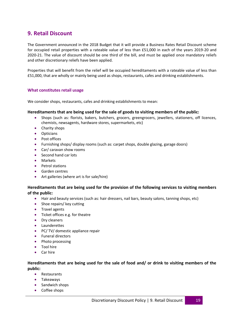# <span id="page-17-0"></span>**9. Retail Discount**

The Government announced in the 2018 Budget that it will provide a Business Rates Retail Discount scheme for occupied retail properties with a rateable value of less than £51,000 in each of the years 2019-20 and 2020-21. The value of discount should be one third of the bill, and must be applied once mandatory reliefs and other discretionary reliefs have been applied.

Properties that will benefit from the relief will be occupied hereditaments with a rateable value of less than £51,000, that are wholly or mainly being used as shops, restaurants, cafes and drinking establishments.

### <span id="page-17-1"></span>**What constitutes retail usage**

We consider shops, restaurants, cafes and drinking establishments to mean:

### **Hereditaments that are being used for the sale of goods to visiting members of the public:**

- Shops (such as: florists, bakers, butchers, grocers, greengrocers, jewellers, stationers, off licences, chemists, newsagents, hardware stores, supermarkets, etc)
- Charity shops
- Opticians
- Post offices
- Furnishing shops/ display rooms (such as: carpet shops, double glazing, garage doors)
- Car/ caravan show rooms
- Second hand car lots
- Markets
- Petrol stations
- **•** Garden centres
- Art galleries (where art is for sale/hire)

### **Hereditaments that are being used for the provision of the following services to visiting members of the public:**

- Hair and beauty services (such as: hair dressers, nail bars, beauty salons, tanning shops, etc)
- Shoe repairs/ key cutting
- **•** Travel agents
- Ticket offices e.g. for theatre
- Dry cleaners
- Launderettes
- PC/ TV/ domestic appliance repair
- Funeral directors
- Photo processing
- **•** Tool hire
- Car hire

### **Hereditaments that are being used for the sale of food and/ or drink to visiting members of the public:**

- Restaurants
- Takeaways
- Sandwich shops
- Coffee shops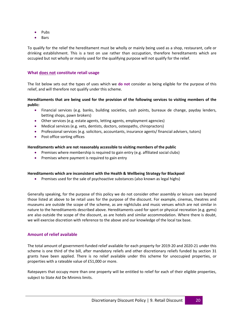- Pubs
- Bars

To qualify for the relief the hereditament must be wholly or mainly being used as a shop, restaurant, cafe or drinking establishment. This is a test on use rather than occupation, therefore hereditaments which are occupied but not wholly or mainly used for the qualifying purpose will not qualify for the relief.

### <span id="page-18-0"></span>**What does not constitute retail usage**

The list below sets out the types of uses which we **do not** consider as being eligible for the purpose of this relief, and will therefore not qualify under this scheme.

### **Hereditaments that are being used for the provision of the following services to visiting members of the public:**

- Financial services (e.g. banks, building societies, cash points, bureaux de change, payday lenders, betting shops, pawn brokers)
- Other services (e.g. estate agents, letting agents, employment agencies)
- Medical services (e.g. vets, dentists, doctors, osteopaths, chiropractors)
- Professional services (e.g. solicitors, accountants, insurance agents/ financial advisers, tutors)
- Post office sorting offices

### **Hereditaments which are not reasonably accessible to visiting members of the public**

- Premises where membership is required to gain entry (e.g. affiliated social clubs)
- Premises where payment is required to gain entry

### **Hereditaments which are inconsistent with the Health & Wellbeing Strategy for Blackpool**

Premises used for the sale of psychoactive substances (also known as legal highs)

Generally speaking, for the purpose of this policy we do not consider other assembly or leisure uses beyond those listed at above to be retail uses for the purpose of the discount. For example, cinemas, theatres and museums are outside the scope of the scheme, as are nightclubs and music venues which are not similar in nature to the hereditaments described above. Hereditaments used for sport or physical recreation (e.g. gyms) are also outside the scope of the discount, as are hotels and similar accommodation. Where there is doubt, we will exercise discretion with reference to the above and our knowledge of the local tax base.

### <span id="page-18-1"></span>**Amount of relief available**

The total amount of government-funded relief available for each property for 2019-20 and 2020-21 under this scheme is one third of the bill, after mandatory reliefs and other discretionary reliefs funded by section 31 grants have been applied. There is no relief available under this scheme for unoccupied properties, or properties with a rateable value of £51,000 or more.

Ratepayers that occupy more than one property will be entitled to relief for each of their eligible properties, subject to State Aid De Minimis limits.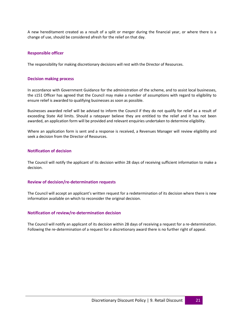A new hereditament created as a result of a split or merger during the financial year, or where there is a change of use, should be considered afresh for the relief on that day.

### <span id="page-19-0"></span>**Responsible officer**

The responsibility for making discretionary decisions will rest with the Director of Resources.

#### <span id="page-19-1"></span>**Decision making process**

In accordance with Government Guidance for the administration of the scheme, and to assist local businesses, the s151 Officer has agreed that the Council may make a number of assumptions with regard to eligibility to ensure relief is awarded to qualifying businesses as soon as possible.

Businesses awarded relief will be advised to inform the Council if they do not qualify for relief as a result of exceeding State Aid limits. Should a ratepayer believe they are entitled to the relief and it has not been awarded, an application form will be provided and relevant enquiries undertaken to determine eligibility.

Where an application form is sent and a response is received, a Revenues Manager will review eligibility and seek a decision from the Director of Resources.

### <span id="page-19-2"></span>**Notification of decision**

The Council will notify the applicant of its decision within 28 days of receiving sufficient information to make a decision.

#### <span id="page-19-3"></span>**Review of decision/re‐determination requests**

The Council will accept an applicant's written request for a redetermination of its decision where there is new information available on which to reconsider the original decision.

#### <span id="page-19-4"></span>**Notification of review/re‐determination decision**

The Council will notify an applicant of its decision within 28 days of receiving a request for a re-determination. Following the re-determination of a request for a discretionary award there is no further right of appeal.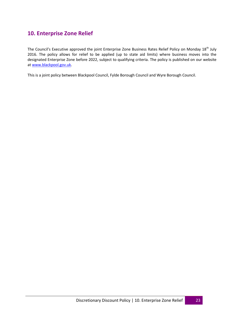# <span id="page-20-0"></span>**10. Enterprise Zone Relief**

The Council's Executive approved the joint Enterprise Zone Business Rates Relief Policy on Monday 18<sup>th</sup> July 2016. The policy allows for relief to be applied (up to state aid limits) where business moves into the designated Enterprise Zone before 2022, subject to qualifying criteria. The policy is published on our website a[t www.blackpool.gov.uk.](http://www.blackpool.gov.uk/)

This is a joint policy between Blackpool Council, Fylde Borough Council and Wyre Borough Council.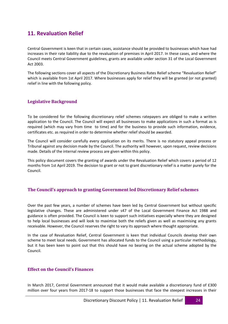# **11. Revaluation Relief**

Central Government is keen that in certain cases, assistance should be provided to businesses which have had increases in their rate liability due to the revaluation of premises in April 2017. In these cases, and where the Council meets Central Government guidelines, grants are available under section 31 of the Local Government Act 2003.

The following sections cover all aspects of the Discretionary Business Rates Relief scheme "Revaluation Relief" which is available from 1st April 2017. Where businesses apply for relief they will be granted (or not granted) relief in line with the following policy.

### **Legislative Background**

To be considered for the following discretionary relief schemes ratepayers are obliged to make a written application to the Council. The Council will expect all businesses to make applications in such a format as is required (which may vary from time to time) and for the business to provide such information, evidence, certificates etc. as required in order to determine whether relief should be awarded.

The Council will consider carefully every application on its merits. There is no statutory appeal process or Tribunal against any decision made by the Council. The authority will however, upon request, review decisions made. Details of the internal review process are given within this policy.

This policy document covers the granting of awards under the Revaluation Relief which covers a period of 12 months from 1st April 2019. The decision to grant or not to grant discretionary relief is a matter purely for the Council.

### **The Council's approach to granting Government led Discretionary Relief schemes**

Over the past few years, a number of schemes have been led by Central Government but without specific legislative changes. These are administered under s47 of the Local Government Finance Act 1988 and guidance is often provided. The Council is keen to support such initiatives especially where they are designed to help local businesses and will look to maximise both the reliefs given as well as maximising any grants receivable. However, the Council reserves the right to vary its approach where thought appropriate.

In the case of Revaluation Relief, Central Government is keen that individual Councils develop their own scheme to meet local needs. Government has allocated funds to the Council using a particular methodology, but it has been keen to point out that this should have no bearing on the actual scheme adopted by the Council.

### **Effect on the Council's Finances**

In March 2017, Central Government announced that it would make available a discretionary fund of £300 million over four years from 2017-18 to support those businesses that face the steepest increases in their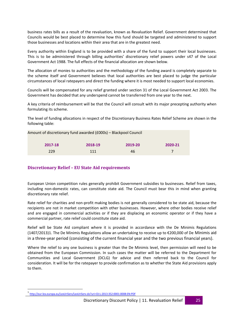business rates bills as a result of the revaluation, known as Revaluation Relief. Government determined that Councils would be best placed to determine how this fund should be targeted and administered to support those businesses and locations within their area that are in the greatest need.

Every authority within England is to be provided with a share of the fund to support their local businesses. This is to be administered through billing authorities' discretionary relief powers under s47 of the Local Government Act 1988. The full effects of the financial allocation are shown below.

The allocation of monies to authorities and the methodology of the funding award is completely separate to the scheme itself and Government believes that local authorities are best placed to judge the particular circumstances of local ratepayers and direct the funding where it is most needed to support local economies.

Councils will be compensated for any relief granted under section 31 of the Local Government Act 2003. The Government has decided that any underspend cannot be transferred from one year to the next.

A key criteria of reimbursement will be that the Council will consult with its major precepting authority when formulating its scheme.

The level of funding allocations in respect of the Discretionary Business Rates Relief Scheme are shown in the following table:

| Amount of discretionary fund awarded (£000s) – Blackpool Council |  |  |  |  |
|------------------------------------------------------------------|--|--|--|--|
|                                                                  |  |  |  |  |

| 2017-18 | 2018-19 | 2019-20 | 2020-21 |
|---------|---------|---------|---------|
| 229     | 111     | 46      |         |

### **Discretionary Relief – EU State Aid requirements**

European Union competition rules generally prohibit Government subsidies to businesses. Relief from taxes, including non-domestic rates, can constitute state aid. The Council must bear this in mind when granting discretionary rate relief.

Rate relief for charities and non-profit making bodies is not generally considered to be state aid, because the recipients are not in market competition with other businesses. However, where other bodies receive relief and are engaged in commercial activities or if they are displacing an economic operator or if they have a commercial partner, rate relief could constitute state aid.

Relief will be State Aid compliant where it is provided in accordance with the De Minimis Regulations (1407/2013)1. The De Minimis Regulations allow an undertaking to receive up to €200,000 of De Minimis aid in a three-year period (consisting of the current financial year and the two previous financial years).

Where the relief to any one business is greater than the De Minimis level, then permission will need to be obtained from the European Commission. In such cases the matter will be referred to the Department for Communities and Local Government (DCLG) for advice and then referred back to the Council for consideration. It will be for the ratepayer to provide confirmation as to whether the State Aid provisions apply to them.

<sup>1</sup> [http://eur-lex.europa.eu/LexUriServ/LexUriServ.do?uri=OJ:L:2013:352:0001:0008:EN:PDF](http://eur-lex.europa.eu/LexUriServ/LexUriServ.do?uri=OJ%3AL%3A2013%3A352%3A0001%3A0008%3AEN%3APDF)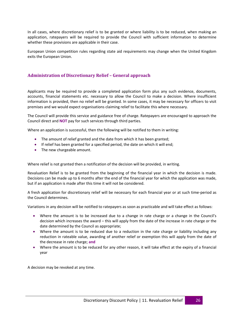In all cases, where discretionary relief is to be granted or where liability is to be reduced, when making an application, ratepayers will be required to provide the Council with sufficient information to determine whether these provisions are applicable in their case.

European Union competition rules regarding state aid requirements may change when the United Kingdom exits the European Union.

### **Administration of Discretionary Relief – General approach**

Applicants may be required to provide a completed application form plus any such evidence, documents, accounts, financial statements etc. necessary to allow the Council to make a decision. Where insufficient information is provided, then no relief will be granted. In some cases, it may be necessary for officers to visit premises and we would expect organisations claiming relief to facilitate this where necessary.

The Council will provide this service and guidance free of charge. Ratepayers are encouraged to approach the Council direct and **NOT** pay for such services through third parties.

Where an application is successful, then the following will be notified to them in writing:

- The amount of relief granted and the date from which it has been granted;
- If relief has been granted for a specified period, the date on which it will end;
- The new chargeable amount.

Where relief is not granted then a notification of the decision will be provided, in writing.

Revaluation Relief is to be granted from the beginning of the financial year in which the decision is made. Decisions can be made up to 6 months after the end of the financial year for which the application was made, but if an application is made after this time it will not be considered.

A fresh application for discretionary relief will be necessary for each financial year or at such time-period as the Council determines.

Variations in any decision will be notified to ratepayers as soon as practicable and will take effect as follows:

- Where the amount is to be increased due to a change in rate charge or a change in the Council's decision which increases the award – this will apply from the date of the increase in rate charge or the date determined by the Council as appropriate;
- Where the amount is to be reduced due to a reduction in the rate charge or liability including any reduction in rateable value, awarding of another relief or exemption this will apply from the date of the decrease in rate charge; **and**
- Where the amount is to be reduced for any other reason, it will take effect at the expiry of a financial year

A decision may be revoked at any time.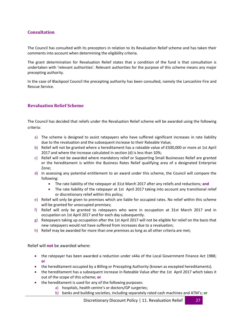### **Consultation**

The Council has consulted with its preceptors in relation to its Revaluation Relief scheme and has taken their comments into account when determining the eligibility criteria.

The grant determination for Revaluation Relief states that a condition of the fund is that consultation is undertaken with 'relevant authorities'. Relevant authorities for the purpose of this scheme means any major precepting authority.

In the case of Blackpool Council the precepting authority has been consulted, namely the Lancashire Fire and Rescue Service.

### **Revaluation Relief Scheme**

The Council has decided that reliefs under the Revaluation Relief scheme will be awarded using the following criteria:

- a) The scheme is designed to assist ratepayers who have suffered significant increases in rate liability due to the revaluation and the subsequent increase to their Rateable Value;
- b) Relief will not be granted where a hereditament has a rateable value of £500,000 or more at 1st April 2017 and where the increase calculated in section (d) is less than 10%;
- c) Relief will not be awarded where mandatory relief or Supporting Small Businesses Relief are granted or the hereditament is within the Business Rates Relief qualifying area of a designated Enterprise Zone;
- d) In assessing any potential entitlement to an award under this scheme, the Council will compare the following:
	- The rate liability of the ratepayer at 31st March 2017 after any reliefs and reductions; **and**
	- The rate liability of the ratepayer at 1st April 2017 taking into account any transitional relief or discretionary relief within this policy;
- e) Relief will only be given to premises which are liable for occupied rates. No relief within this scheme will be granted for unoccupied premises;
- f) Relief will only be granted to ratepayers who were in occupation at 31st March 2017 and in occupation on 1st April 2017 and for each day subsequently.
- g) Ratepayers taking up occupation after the 1st April 2017 will not be eligible for relief on the basis that new ratepayers would not have suffered from increases due to a revaluation;
- h) Relief may be awarded for more than one premises as long as all other criteria are met;

Relief will **not** be awarded where:

- the ratepayer has been awarded a reduction under s44a of the Local Government Finance Act 1988; **or**
- the hereditament occupied by a Billing or Precepting Authority (known as excepted hereditaments).
- the hereditament has a subsequent increase in Rateable Value after the 1st April 2017 which takes it out of the scope of this scheme; **or**
	- the hereditament is used for any of the following purposes:
		- a) hospitals, health centre's or doctors/GP surgeries;
		- b) banks and building societies, including separately rated cash machines and ATM's; **or**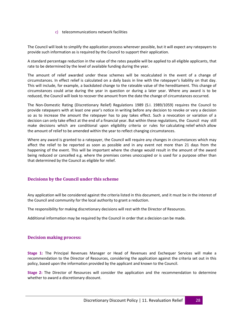### c) telecommunications network facilities

The Council will look to simplify the application process wherever possible, but it will expect any ratepayers to provide such information as is required by the Council to support their application.

A standard percentage reduction in the value of the rates payable will be applied to all eligible applicants, that rate to be determined by the level of available funding during the year.

The amount of relief awarded under these schemes will be recalculated in the event of a change of circumstances. In effect relief is calculated on a daily basis in line with the ratepayer's liability on that day. This will include, for example, a backdated change to the rateable value of the hereditament. This change of circumstances could arise during the year in question or during a later year. Where any award is to be reduced, the Council will look to recover the amount from the date the change of circumstances occurred.

The Non-Domestic Rating (Discretionary Relief) Regulations 1989 (S.I. 1989/1059) requires the Council to provide ratepayers with at least one year's notice in writing before any decision to revoke or vary a decision so as to increase the amount the ratepayer has to pay takes effect. Such a revocation or variation of a decision can only take effect at the end of a financial year. But within these regulations, the Council may still make decisions which are conditional upon eligibility criteria or rules for calculating relief which allow the amount of relief to be amended within the year to reflect changing circumstances.

Where any award is granted to a ratepayer, the Council will require any changes in circumstances which may affect the relief to be reported as soon as possible and in any event not more than 21 days from the happening of the event. This will be important where the change would result in the amount of the award being reduced or cancelled e.g. where the premises comes unoccupied or is used for a purpose other than that determined by the Council as eligible for relief.

### **Decisions by the Council under this scheme**

Any application will be considered against the criteria listed in this document, and it must be in the interest of the Council and community for the local authority to grant a reduction.

The responsibility for making discretionary decisions will rest with the Director of Resources.

Additional information may be required by the Council in order that a decision can be made.

### **Decision making process:**

**Stage 1:** The Principal Revenues Manager or Head of Revenues and Exchequer Services will make a recommendation to the Director of Resources, considering the application against the criteria set out in this policy, based upon the information provided by the applicant and known to the Council.

**Stage 2:** The Director of Resources will consider the application and the recommendation to determine whether to award a discretionary discount.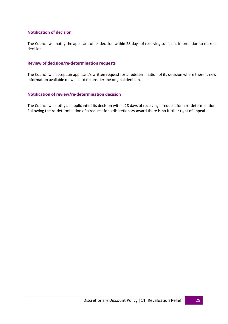### **Notification of decision**

The Council will notify the applicant of its decision within 28 days of receiving sufficient information to make a decision.

### **Review of decision/re‐determination requests**

The Council will accept an applicant's written request for a redetermination of its decision where there is new information available on which to reconsider the original decision.

### **Notification of review/re‐determination decision**

The Council will notify an applicant of its decision within 28 days of receiving a request for a re‐determination. Following the re-determination of a request for a discretionary award there is no further right of appeal.